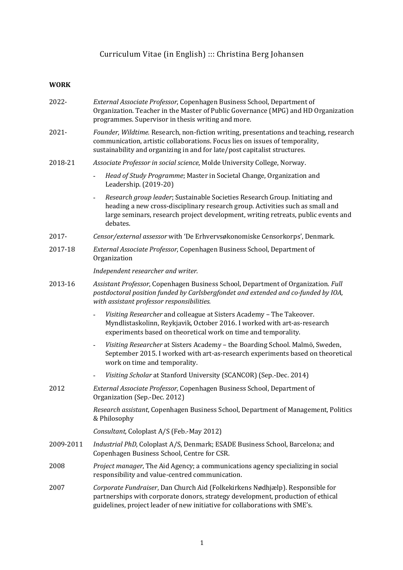# Curriculum Vitae (in English) ::: Christina Berg Johansen

# **WORK**

| 2022-     | External Associate Professor, Copenhagen Business School, Department of<br>Organization. Teacher in the Master of Public Governance (MPG) and HD Organization<br>programmes. Supervisor in thesis writing and more.                                           |
|-----------|---------------------------------------------------------------------------------------------------------------------------------------------------------------------------------------------------------------------------------------------------------------|
| 2021-     | Founder, Wildtime. Research, non-fiction writing, presentations and teaching, research<br>communication, artistic collaborations. Focus lies on issues of temporality,<br>sustainability and organizing in and for late/post capitalist structures.           |
| 2018-21   | Associate Professor in social science, Molde University College, Norway.                                                                                                                                                                                      |
|           | Head of Study Programme; Master in Societal Change, Organization and<br>Leadership. (2019-20)                                                                                                                                                                 |
|           | Research group leader; Sustainable Societies Research Group. Initiating and<br>heading a new cross-disciplinary research group. Activities such as small and<br>large seminars, research project development, writing retreats, public events and<br>debates. |
| 2017-     | Censor/external assessor with 'De Erhvervsøkonomiske Censorkorps', Denmark.                                                                                                                                                                                   |
| 2017-18   | External Associate Professor, Copenhagen Business School, Department of<br>Organization                                                                                                                                                                       |
|           | Independent researcher and writer.                                                                                                                                                                                                                            |
| 2013-16   | Assistant Professor, Copenhagen Business School, Department of Organization. Full<br>postdoctoral position funded by Carlsbergfondet and extended and co-funded by IOA,<br>with assistant professor responsibilities.                                         |
|           | Visiting Researcher and colleague at Sisters Academy - The Takeover.<br>Myndlistaskolinn, Reykjavik, October 2016. I worked with art-as-research<br>experiments based on theoretical work on time and temporality.                                            |
|           | Visiting Researcher at Sisters Academy - the Boarding School. Malmö, Sweden,<br>$\overline{\phantom{a}}$<br>September 2015. I worked with art-as-research experiments based on theoretical<br>work on time and temporality.                                   |
|           | Visiting Scholar at Stanford University (SCANCOR) (Sep.-Dec. 2014)                                                                                                                                                                                            |
| 2012      | External Associate Professor, Copenhagen Business School, Department of<br>Organization (Sep.-Dec. 2012)                                                                                                                                                      |
|           | Research assistant, Copenhagen Business School, Department of Management, Politics<br>& Philosophy                                                                                                                                                            |
|           | Consultant, Coloplast A/S (Feb.-May 2012)                                                                                                                                                                                                                     |
| 2009-2011 | Industrial PhD, Coloplast A/S, Denmark; ESADE Business School, Barcelona; and<br>Copenhagen Business School, Centre for CSR.                                                                                                                                  |
| 2008      | Project manager, The Aid Agency; a communications agency specializing in social<br>responsibility and value-centred communication.                                                                                                                            |
| 2007      | Corporate Fundraiser, Dan Church Aid (Folkekirkens Nødhjælp). Responsible for<br>partnerships with corporate donors, strategy development, production of ethical<br>guidelines, project leader of new initiative for collaborations with SME's.               |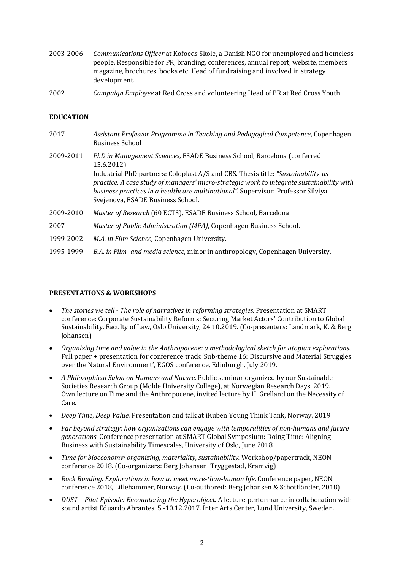- 2003-2006 *Communications Officer* at Kofoeds Skole, a Danish NGO for unemployed and homeless people. Responsible for PR, branding, conferences, annual report, website, members magazine, brochures, books etc. Head of fundraising and involved in strategy development.
- 2002 *Campaign Employee* at Red Cross and volunteering Head of PR at Red Cross Youth

### **EDUCATION**

| 2017      | Assistant Professor Programme in Teaching and Pedagogical Competence, Copenhagen<br><b>Business School</b>                                                                                                                                                                                                                                                                                       |
|-----------|--------------------------------------------------------------------------------------------------------------------------------------------------------------------------------------------------------------------------------------------------------------------------------------------------------------------------------------------------------------------------------------------------|
| 2009-2011 | PhD in Management Sciences, ESADE Business School, Barcelona (conferred<br>15.6.2012)<br>Industrial PhD partners: Coloplast A/S and CBS. Thesis title: "Sustainability-as-<br>practice. A case study of managers' micro-strategic work to integrate sustainability with<br>business practices in a healthcare multinational". Supervisor: Professor Silviya<br>Svejenova, ESADE Business School. |
| 2009-2010 | Master of Research (60 ECTS), ESADE Business School, Barcelona                                                                                                                                                                                                                                                                                                                                   |
| 2007      | Master of Public Administration (MPA), Copenhagen Business School.                                                                                                                                                                                                                                                                                                                               |
| 1999-2002 | M.A. in Film Science, Copenhagen University.                                                                                                                                                                                                                                                                                                                                                     |
| 1995-1999 | B.A. in Film- and media science, minor in anthropology, Copenhagen University.                                                                                                                                                                                                                                                                                                                   |

#### **PRESENTATIONS & WORKSHOPS**

- The stories we tell The role of narratives in reforming strategies. Presentation at SMART conference: Corporate Sustainability Reforms: Securing Market Actors' Contribution to Global Sustainability. Faculty of Law, Oslo University, 24.10.2019. (Co-presenters: Landmark, K. & Berg Johansen)
- Organizing time and value in the Anthropocene: a methodological sketch for utopian explorations. Full paper + presentation for conference track 'Sub-theme 16: Discursive and Material Struggles over the Natural Environment', EGOS conference, Edinburgh, July 2019.
- *A Philosophical Salon on Humans and Nature*. Public seminar organized by our Sustainable Societies Research Group (Molde University College), at Norwegian Research Days, 2019. Own lecture on Time and the Anthropocene, invited lecture by H. Grelland on the Necessity of Care.
- *Deep Time, Deep Value.* Presentation and talk at iKuben Young Think Tank, Norway, 2019
- Far beyond strategy: how organizations can engage with temporalities of non-humans and future *generations*. Conference presentation at SMART Global Symposium: Doing Time: Aligning Business with Sustainability Timescales, University of Oslo, June 2018
- *Time for bioeconomy: organizing, materiality, sustainability, Workshop/papertrack, NEON* conference 2018. (Co-organizers: Berg Johansen, Tryggestad, Kramvig)
- *Rock Bonding. Explorations in how to meet more-than-human life*. Conference paper, NEON conference 2018, Lillehammer, Norway. (Co-authored: Berg Johansen & Schottländer, 2018)
- *DUST – Pilot Episode: Encountering the Hyperobject*. A lecture-performance in collaboration with sound artist Eduardo Abrantes, 5.-10.12.2017. Inter Arts Center, Lund University, Sweden.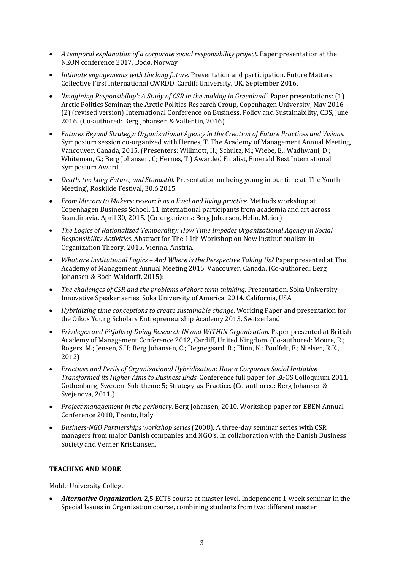- *A temporal explanation of a corporate social responsibility project.* Paper presentation at the NEON conference 2017, Bodø, Norway
- *Intimate engagements with the long future.* Presentation and participation. Future Matters Collective First International CWRDD. Cardiff University, UK, September 2016.
- *'Imagining Responsibility': A Study of CSR in the making in Greenland'.* Paper presentations: (1) Arctic Politics Seminar; the Arctic Politics Research Group, Copenhagen University, May 2016. (2) (revised version) International Conference on Business, Policy and Sustainability, CBS, June 2016. (Co-authored: Berg Johansen & Vallentin, 2016)
- Futures Beyond Strategy: Organizational Agency in the Creation of Future Practices and Visions. Symposium session co-organized with Hernes, T. The Academy of Management Annual Meeting, Vancouver, Canada, 2015. (Presenters: Willmott, H.; Schultz, M.; Wiebe, E.; Wadhwani, D.; Whiteman, G.; Berg Johansen, C; Hernes, T.) Awarded Finalist, Emerald Best International Symposium Award
- *Death, the Long Future, and Standstill*. Presentation on being young in our time at 'The Youth Meeting', Roskilde Festival, 30.6.2015
- *From Mirrors to Makers: research as a lived and living practice.* Methods workshop at Copenhagen Business School, 11 international participants from academia and art across Scandinavia. April 30, 2015. (Co-organizers: Berg Johansen, Helin, Meier)
- The Logics of Rationalized Temporality: How Time Impedes Organizational Agency in Social *Responsibility Activities.* Abstract for The 11th Workshop on New Institutionalism in Organization Theory, 2015. Vienna, Austria.
- *What are Institutional Logics And Where is the Perspective Taking Us?* Paper presented at The Academy of Management Annual Meeting 2015. Vancouver, Canada. (Co-authored: Berg Johansen & Boch Waldorff, 2015):
- *The challenges of CSR and the problems of short term thinking*. Presentation, Soka University Innovative Speaker series. Soka University of America, 2014. California, USA.
- *Hybridizing time conceptions to create sustainable change*. Working Paper and presentation for the Oikos Young Scholars Entrepreneurship Academy 2013, Switzerland.
- *Privileges and Pitfalls of Doing Research IN and WITHIN Organization*. Paper presented at British Academy of Management Conference 2012, Cardiff, United Kingdom. (Co-authored: Moore, R.; Rogers, M.; Jensen, S.H; Berg Johansen, C.; Degnegaard, R.; Flinn, K.; Poulfelt, F.; Nielsen, R.K., 2012)
- *Practices and Perils of Organizational Hybridization: How a Corporate Social Initiative Transformed its Higher Aims to Business Ends.* Conference full paper for EGOS Colloquium 2011, Gothenburg, Sweden. Sub-theme 5; Strategy-as-Practice. (Co-authored: Berg Johansen & Svejenova, 2011.)
- *Project management in the periphery*. Berg Johansen, 2010. Workshop paper for EBEN Annual Conference 2010. Trento, Italy.
- *Business-NGO Partnerships workshop series* (2008). A three-day seminar series with CSR managers from major Danish companies and NGO's. In collaboration with the Danish Business Society and Verner Kristiansen.

#### **TEACHING AND MORE**

#### Molde University College

• *Alternative Organization.* 2,5 ECTS course at master level. Independent 1-week seminar in the Special Issues in Organization course, combining students from two different master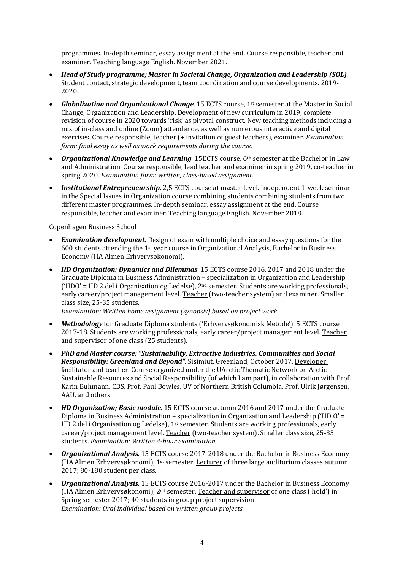programmes. In-depth seminar, essay assignment at the end. Course responsible, teacher and examiner. Teaching language English. November 2021.

- *Head of Study programme; Master in Societal Change, Organization and Leadership (SOL).* Student contact, strategic development, team coordination and course developments. 2019-2020.
- **Globalization and Organizational Change**. 15 ECTS course, 1<sup>st</sup> semester at the Master in Social Change, Organization and Leadership. Development of new curriculum in 2019, complete revision of course in 2020 towards 'risk' as pivotal construct. New teaching methods including a mix of in-class and online (Zoom) attendance, as well as numerous interactive and digital exercises. Course responsible, teacher (+ invitation of guest teachers), examiner. *Examination form: final essay as well as work requirements during the course.*
- **Organizational Knowledge and Learning**. 15ECTS course, 6<sup>th</sup> semester at the Bachelor in Law and Administration. Course responsible, lead teacher and examiner in spring 2019, co-teacher in spring 2020. *Examination form: written, class-based assignment.*
- **Institutional Entrepreneurship.** 2,5 ECTS course at master level. Independent 1-week seminar in the Special Issues in Organization course combining students combining students from two different master programmes. In-depth seminar, essay assignment at the end. Course responsible, teacher and examiner. Teaching language English. November 2018.

#### Copenhagen Business School

- *Examination development.* Design of exam with multiple choice and essay questions for the 600 students attending the 1<sup>st</sup> year course in Organizational Analysis, Bachelor in Business Economy (HA Almen Erhvervsøkonomi).
- *HD* Organization; Dynamics and Dilemmas, 15 ECTS course 2016, 2017 and 2018 under the Graduate Diploma in Business Administration - specialization in Organization and Leadership ('HDO' = HD 2.del i Organisation og Ledelse),  $2<sup>nd</sup>$  semester. Students are working professionals, early career/project management level. Teacher (two-teacher system) and examiner. Smaller class size, 25-35 students.

*Examination: Written home assignment (synopsis) based on project work.* 

- **Methodology** for Graduate Diploma students ('Erhvervsøkonomisk Metode'). 5 ECTS course 2017-18. Students are working professionals, early career/project management level. Teacher and supervisor of one class (25 students).
- *PhD and Master course: "Sustainability, Extractive Industries, Communities and Social Responsibility: Greenland and Beyond"*. Sisimiut, Greenland, October 2017. Developer, facilitator and teacher. Course organized under the UArctic Thematic Network on Arctic Sustainable Resources and Social Responsibility (of which I am part), in collaboration with Prof. Karin Buhmann, CBS, Prof. Paul Bowles, UV of Northern British Columbia, Prof. Ulrik Jørgensen, AAU, and others.
- *HD* Organization; Basic module. 15 ECTS course autumn 2016 and 2017 under the Graduate Diploma in Business Administration – specialization in Organization and Leadership ('HD O' = HD 2.del i Organisation og Ledelse), 1<sup>st</sup> semester. Students are working professionals, early career/project management level. Teacher (two-teacher system). Smaller class size, 25-35 students. *Examination: Written 4-hour examination.*
- **Organizational Analysis**. 15 ECTS course 2017-2018 under the Bachelor in Business Economy (HA Almen Erhvervsøkonomi),  $1<sup>st</sup>$  semester. Lecturer of three large auditorium classes autumn 2017; 80-180 student per class.
- **Organizational Analysis**. 15 ECTS course 2016-2017 under the Bachelor in Business Economy (HA Almen Erhvervsøkonomi),  $2<sup>nd</sup>$  semester. Teacher and supervisor of one class ('hold') in Spring semester 2017; 40 students in group project supervision. *Examination: Oral individual based on written group projects.*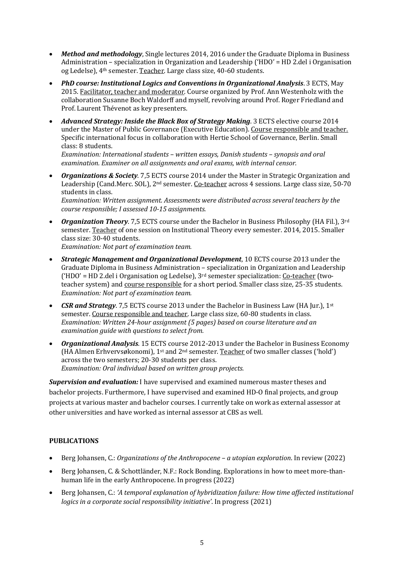- Method and methodology, Single lectures 2014, 2016 under the Graduate Diploma in Business Administration – specialization in Organization and Leadership  $(HDO' = HD 2$ .del i Organisation og Ledelse), 4<sup>th</sup> semester. Teacher. Large class size, 40-60 students.
- *PhD course: Institutional Logics and Conventions in Organizational Analysis.* **3 ECTS, May** 2015. Facilitator, teacher and moderator. Course organized by Prof. Ann Westenholz with the collaboration Susanne Boch Waldorff and myself, revolving around Prof. Roger Friedland and Prof. Laurent Thévenot as key presenters.
- Advanced Strategy: Inside the Black Box of Strategy Making. 3 ECTS elective course 2014 under the Master of Public Governance (Executive Education). Course responsible and teacher. Specific international focus in collaboration with Hertie School of Governance, Berlin. Small class: 8 students.

*Examination: International students – written essays, Danish students – synopsis and oral* examination. Examiner on all assignments and oral exams, with internal censor.

• *Organizations & Society.* 7,5 ECTS course 2014 under the Master in Strategic Organization and Leadership (Cand.Merc. SOL), 2<sup>nd</sup> semester. Co-teacher across 4 sessions. Large class size, 50-70 students in class.

*Examination: Written assignment. Assessments were distributed across several teachers by the course responsible; I assessed 10-15 assignments.*

- Organization Theory. 7,5 ECTS course under the Bachelor in Business Philosophy (HA Fil.), 3rd semester. Teacher of one session on Institutional Theory every semester. 2014, 2015. Smaller class size: 30-40 students. *Examination: Not part of examination team.*
- *Strategic Management and Organizational Development***, 10 ECTS course 2013 under the** Graduate Diploma in Business Administration – specialization in Organization and Leadership ('HDO' = HD 2.del i Organisation og Ledelse),  $3<sup>rd</sup>$  semester specialization: Co-teacher (twoteacher system) and course responsible for a short period. Smaller class size, 25-35 students. *Examination:* Not part of examination team.
- *CSR and Strategy*. 7,5 ECTS course 2013 under the Bachelor in Business Law (HA [ur.], 1<sup>st</sup> semester. Course responsible and teacher. Large class size, 60-80 students in class. *Examination: Written 24-hour assignment (5 pages) based on course literature and an examination auide with auestions to select from.*
- *Organizational Analysis*. 15 ECTS course 2012-2013 under the Bachelor in Business Economy (HA Almen Erhvervsøkonomi),  $1<sup>st</sup>$  and  $2<sup>nd</sup>$  semester. Teacher of two smaller classes ('hold') across the two semesters; 20-30 students per class. *Examination: Oral individual based on written group projects.*

**Supervision and evaluation:** I have supervised and examined numerous master theses and bachelor projects. Furthermore, I have supervised and examined HD-O final projects, and group projects at various master and bachelor courses. I currently take on work as external assessor at other universities and have worked as internal assessor at CBS as well.

# **PUBLICATIONS**

- Berg Johansen, C.: *Organizations of the Anthropocene a utopian exploration*. In review (2022)
- Berg Johansen, C. & Schottländer, N.F.: Rock Bonding. Explorations in how to meet more-thanhuman life in the early Anthropocene. In progress (2022)
- Berg Johansen, C.: 'A temporal explanation of hybridization failure: How time affected institutional *logics in a corporate social responsibility initiative'*. In progress (2021)